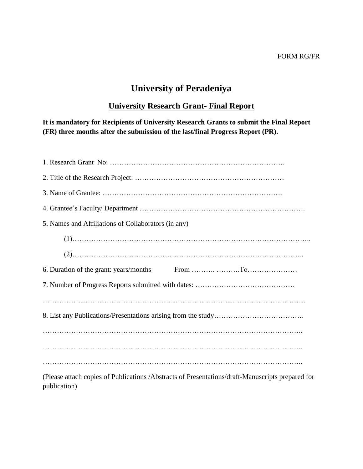## FORM RG/FR

## **University of Peradeniya**

## **University Research Grant- Final Report**

**It is mandatory for Recipients of University Research Grants to submit the Final Report (FR) three months after the submission of the last/final Progress Report (PR).**

| 5. Names and Affiliations of Collaborators (in any)                                                              |
|------------------------------------------------------------------------------------------------------------------|
|                                                                                                                  |
|                                                                                                                  |
|                                                                                                                  |
|                                                                                                                  |
|                                                                                                                  |
|                                                                                                                  |
|                                                                                                                  |
|                                                                                                                  |
|                                                                                                                  |
| (Please attach copies of Publications /Abstracts of Presentations/draft-Manuscripts prepared for<br>publication) |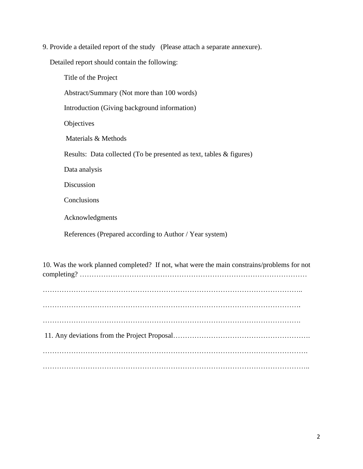9. Provide a detailed report of the study (Please attach a separate annexure).

Detailed report should contain the following:

Title of the Project Abstract/Summary (Not more than 100 words) Introduction (Giving background information) **Objectives** Materials & Methods Results: Data collected (To be presented as text, tables & figures) Data analysis Discussion **Conclusions** Acknowledgments References (Prepared according to Author / Year system) 10. Was the work planned completed? If not, what were the main constrains/problems for not completing? …………………………………………………………………………………… ………………………………………………………………………………………………..

………………………………………………………………………………………………. ………………………………………………………………………………………………. 11. Any deviations from the Project Proposal…………………………………………………. …………………………………………………………………………………………………. …………………………………………………………………………………………………..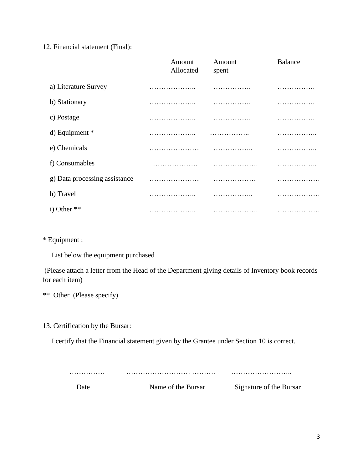12. Financial statement (Final):

|                               | Amount<br>Allocated | Amount<br>spent | <b>Balance</b> |
|-------------------------------|---------------------|-----------------|----------------|
| a) Literature Survey          |                     | .               | .              |
| b) Stationary                 | .                   | .               | .              |
| c) Postage                    | .                   | .               | .              |
| $d)$ Equipment $*$            | .                   | .               | .              |
| e) Chemicals                  |                     | .               | .              |
| f) Consumables                | .                   | .               |                |
| g) Data processing assistance |                     | .               | .              |
| h) Travel                     | .                   | .               | .              |
| i) Other $**$                 | .                   | .               | .              |

\* Equipment :

List below the equipment purchased

(Please attach a letter from the Head of the Department giving details of Inventory book records for each item)

\*\* Other (Please specify)

13. Certification by the Bursar:

I certify that the Financial statement given by the Grantee under Section 10 is correct.

 …………… ……………………… ………. …………………….. Date Name of the Bursar Signature of the Bursar